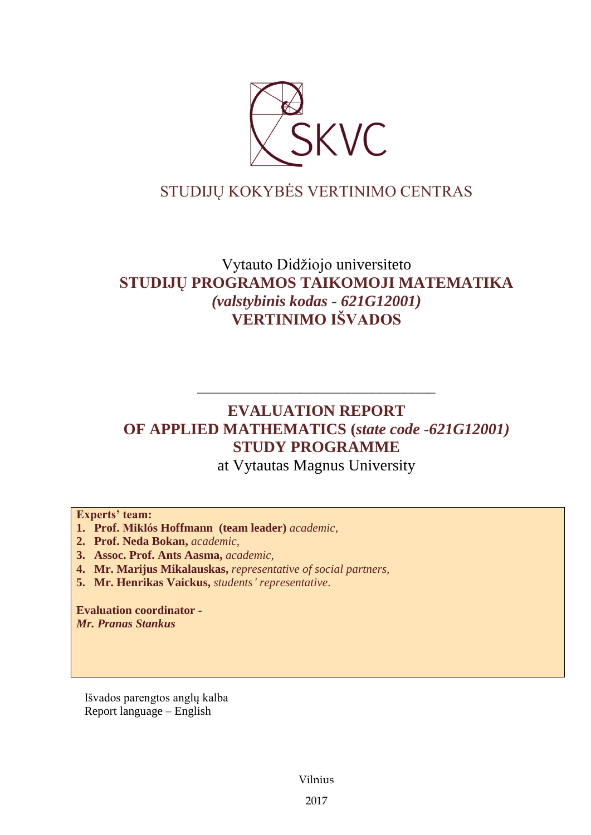

# STUDIJŲ KOKYBĖS VERTINIMO CENTRAS

# Vytauto Didžiojo universiteto **STUDIJŲ PROGRAMOS TAIKOMOJI MATEMATIKA** *(valstybinis kodas - 621G12001)* **VERTINIMO IŠVADOS**

# –––––––––––––––––––––––––––––– **EVALUATION REPORT OF APPLIED MATHEMATICS (***state code -621G12001)* **STUDY PROGRAMME**

at Vytautas Magnus University

## **Experts' team:**

- **1. Prof. Miklós Hoffmann (team leader)** *academic,*
- **2. Prof. Neda Bokan,** *academic,*
- **3. Assoc. Prof. Ants Aasma,** *academic,*
- **4. Mr. Marijus Mikalauskas,** *representative of social partners,*
- **5. Mr. Henrikas Vaickus,** *students' representative*.

**Evaluation coordinator -** *Mr. Pranas Stankus*

Išvados parengtos anglų kalba Report language – English

Vilnius

2017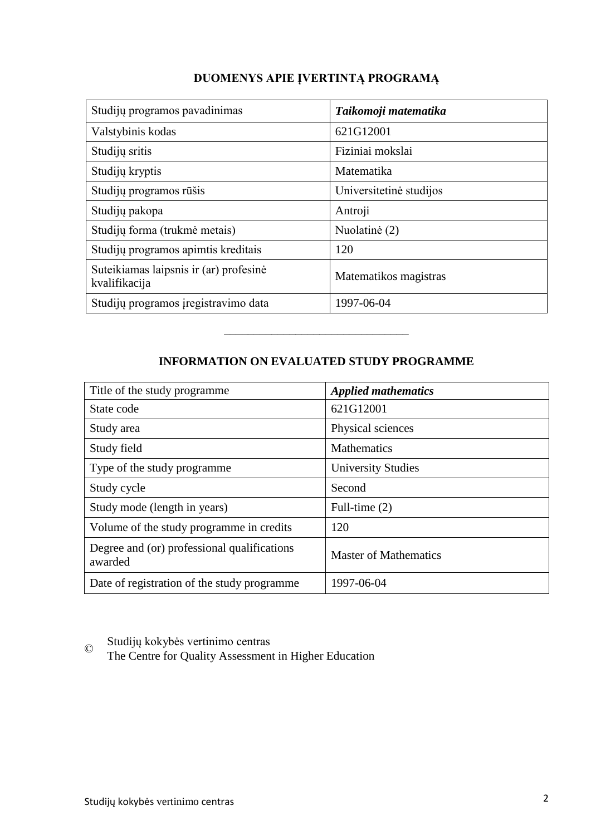| Studijų programos pavadinimas                           | Taikomoji matematika    |
|---------------------------------------------------------|-------------------------|
| Valstybinis kodas                                       | 621G12001               |
| Studijų sritis                                          | Fiziniai mokslai        |
| Studijų kryptis                                         | Matematika              |
| Studijų programos rūšis                                 | Universitetinė studijos |
| Studijų pakopa                                          | Antroji                 |
| Studijų forma (trukmė metais)                           | Nuolatinė (2)           |
| Studijų programos apimtis kreditais                     | 120                     |
| Suteikiamas laipsnis ir (ar) profesinė<br>kvalifikacija | Matematikos magistras   |
| Studijų programos įregistravimo data                    | 1997-06-04              |

# **DUOMENYS APIE ĮVERTINTĄ PROGRAMĄ**

# **INFORMATION ON EVALUATED STUDY PROGRAMME**

–––––––––––––––––––––––––––––––

| Title of the study programme.                          | <b>Applied mathematics</b>   |
|--------------------------------------------------------|------------------------------|
| State code                                             | 621G12001                    |
| Study area                                             | Physical sciences            |
| Study field                                            | <b>Mathematics</b>           |
| Type of the study programme                            | <b>University Studies</b>    |
| Study cycle                                            | Second                       |
| Study mode (length in years)                           | Full-time $(2)$              |
| Volume of the study programme in credits               | 120                          |
| Degree and (or) professional qualifications<br>awarded | <b>Master of Mathematics</b> |
| Date of registration of the study programme            | 1997-06-04                   |

© Studijų kokybės vertinimo centras

The Centre for Quality Assessment in Higher Education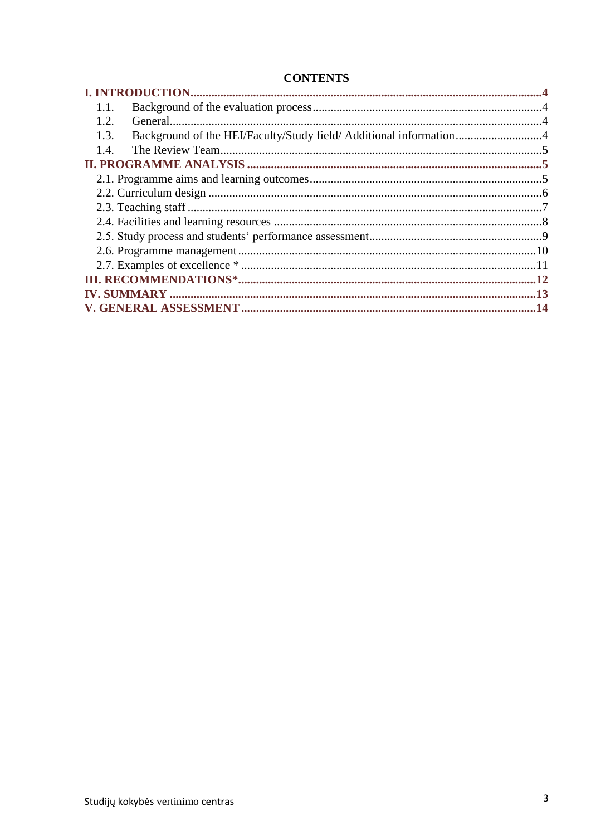# **CONTENTS**

| 1.1.                                                                      |  |
|---------------------------------------------------------------------------|--|
| 1.2.                                                                      |  |
| Background of the HEI/Faculty/Study field/ Additional information<br>1.3. |  |
| 1.4.                                                                      |  |
|                                                                           |  |
|                                                                           |  |
|                                                                           |  |
|                                                                           |  |
|                                                                           |  |
|                                                                           |  |
|                                                                           |  |
|                                                                           |  |
|                                                                           |  |
|                                                                           |  |
|                                                                           |  |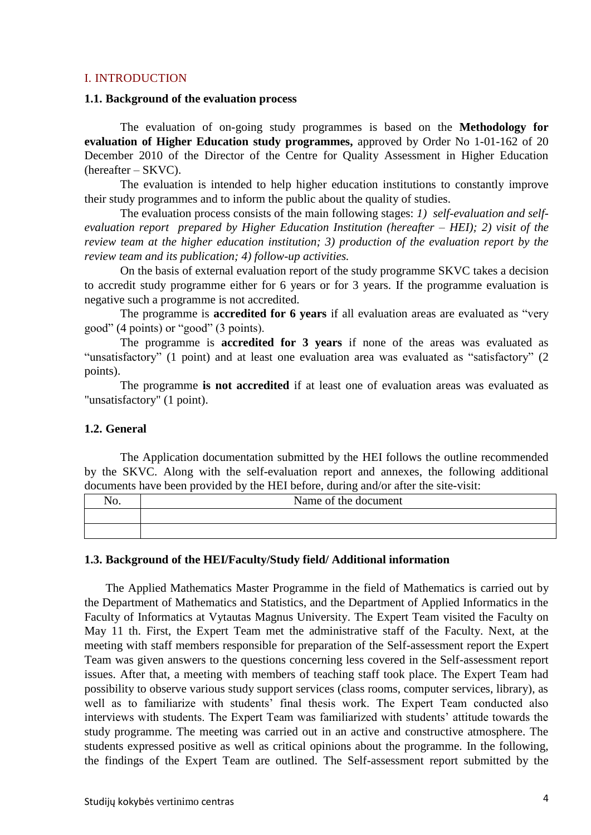#### <span id="page-3-0"></span>I. INTRODUCTION

#### <span id="page-3-1"></span>**1.1. Background of the evaluation process**

The evaluation of on-going study programmes is based on the **Methodology for evaluation of Higher Education study programmes,** approved by Order No 1-01-162 of 20 December 2010 of the Director of the Centre for Quality Assessment in Higher Education (hereafter – SKVC).

The evaluation is intended to help higher education institutions to constantly improve their study programmes and to inform the public about the quality of studies.

The evaluation process consists of the main following stages: *1) self-evaluation and selfevaluation report prepared by Higher Education Institution (hereafter – HEI); 2) visit of the review team at the higher education institution; 3) production of the evaluation report by the review team and its publication; 4) follow-up activities.* 

On the basis of external evaluation report of the study programme SKVC takes a decision to accredit study programme either for 6 years or for 3 years. If the programme evaluation is negative such a programme is not accredited.

The programme is **accredited for 6 years** if all evaluation areas are evaluated as "very good" (4 points) or "good" (3 points).

The programme is **accredited for 3 years** if none of the areas was evaluated as "unsatisfactory" (1 point) and at least one evaluation area was evaluated as "satisfactory" (2 points).

The programme **is not accredited** if at least one of evaluation areas was evaluated as "unsatisfactory" (1 point).

#### <span id="page-3-2"></span>**1.2. General**

The Application documentation submitted by the HEI follows the outline recommended by the SKVC. Along with the self-evaluation report and annexes, the following additional documents have been provided by the HEI before, during and/or after the site-visit:

| NO. | Name of the document |
|-----|----------------------|
|     |                      |
|     |                      |

#### <span id="page-3-3"></span>**1.3. Background of the HEI/Faculty/Study field/ Additional information**

The Applied Mathematics Master Programme in the field of Mathematics is carried out by the Department of Mathematics and Statistics, and the Department of Applied Informatics in the Faculty of Informatics at Vytautas Magnus University. The Expert Team visited the Faculty on May 11 th. First, the Expert Team met the administrative staff of the Faculty. Next, at the meeting with staff members responsible for preparation of the Self-assessment report the Expert Team was given answers to the questions concerning less covered in the Self-assessment report issues. After that, a meeting with members of teaching staff took place. The Expert Team had possibility to observe various study support services (class rooms, computer services, library), as well as to familiarize with students' final thesis work. The Expert Team conducted also interviews with students. The Expert Team was familiarized with students' attitude towards the study programme. The meeting was carried out in an active and constructive atmosphere. The students expressed positive as well as critical opinions about the programme. In the following, the findings of the Expert Team are outlined. The Self-assessment report submitted by the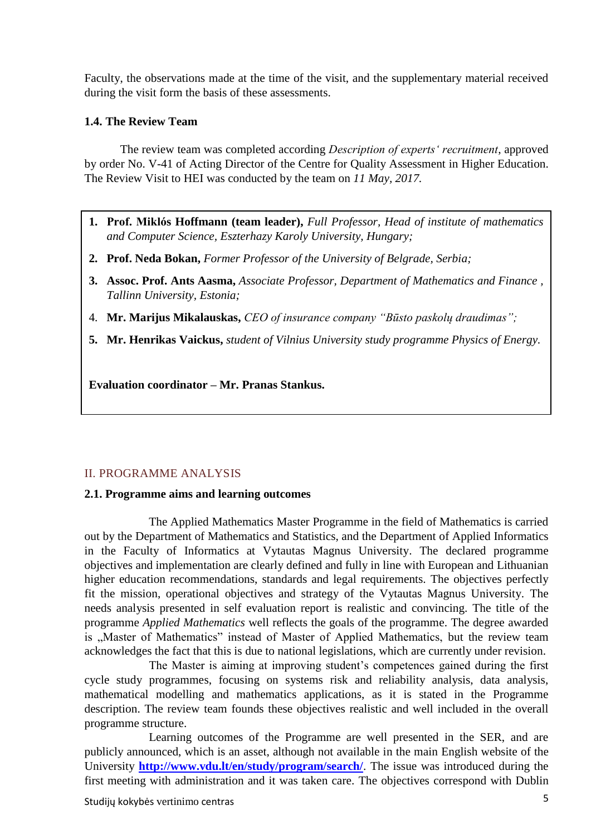Faculty, the observations made at the time of the visit, and the supplementary material received during the visit form the basis of these assessments.

## <span id="page-4-0"></span>**1.4. The Review Team**

The review team was completed according *Description of experts' recruitment*, approved by order No. V-41 of Acting Director of the Centre for Quality Assessment in Higher Education. The Review Visit to HEI was conducted by the team on *11 May, 2017.*

- **1. Prof. Miklós Hoffmann (team leader),** *Full Professor, Head of institute of mathematics and Computer Science, Eszterhazy Karoly University, Hungary;*
- **2. Prof. Neda Bokan,** *Former Professor of the University of Belgrade, Serbia;*
- **3. Assoc. Prof. Ants Aasma,** *Associate Professor, Department of Mathematics and Finance , Tallinn University, Estonia;*
- 4. **Mr. Marijus Mikalauskas,** *CEO of insurance company "Būsto paskolų draudimas";*
- <span id="page-4-1"></span>**5. Mr. Henrikas Vaickus,** *student of Vilnius University study programme Physics of Energy.*

**Evaluation coordinator – Mr. Pranas Stankus.**

# II. PROGRAMME ANALYSIS

## <span id="page-4-2"></span>**2.1. Programme aims and learning outcomes**

The Applied Mathematics Master Programme in the field of Mathematics is carried out by the Department of Mathematics and Statistics, and the Department of Applied Informatics in the Faculty of Informatics at Vytautas Magnus University. The declared programme objectives and implementation are clearly defined and fully in line with European and Lithuanian higher education recommendations, standards and legal requirements. The objectives perfectly fit the mission, operational objectives and strategy of the Vytautas Magnus University. The needs analysis presented in self evaluation report is realistic and convincing. The title of the programme *Applied Mathematics* well reflects the goals of the programme. The degree awarded is "Master of Mathematics" instead of Master of Applied Mathematics, but the review team acknowledges the fact that this is due to national legislations, which are currently under revision.

The Master is aiming at improving student's competences gained during the first cycle study programmes, focusing on systems risk and reliability analysis, data analysis, mathematical modelling and mathematics applications, as it is stated in the Programme description. The review team founds these objectives realistic and well included in the overall programme structure.

Learning outcomes of the Programme are well presented in the SER, and are publicly announced, which is an asset, although not available in the main English website of the University **<http://www.vdu.lt/en/study/program/search/>**. The issue was introduced during the first meeting with administration and it was taken care. The objectives correspond with Dublin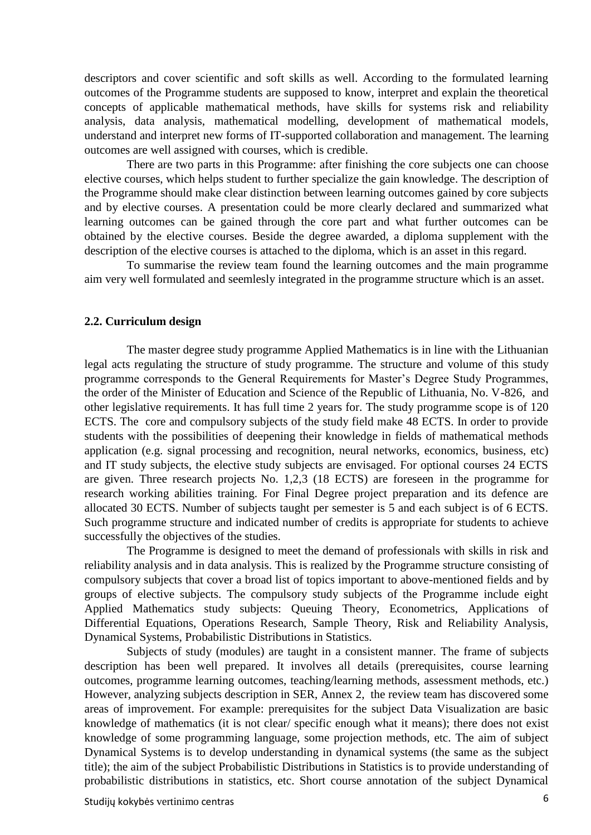descriptors and cover scientific and soft skills as well. According to the formulated learning outcomes of the Programme students are supposed to know, interpret and explain the theoretical concepts of applicable mathematical methods, have skills for systems risk and reliability analysis, data analysis, mathematical modelling, development of mathematical models, understand and interpret new forms of IT-supported collaboration and management. The learning outcomes are well assigned with courses, which is credible.

There are two parts in this Programme: after finishing the core subjects one can choose elective courses, which helps student to further specialize the gain knowledge. The description of the Programme should make clear distinction between learning outcomes gained by core subjects and by elective courses. A presentation could be more clearly declared and summarized what learning outcomes can be gained through the core part and what further outcomes can be obtained by the elective courses. Beside the degree awarded, a diploma supplement with the description of the elective courses is attached to the diploma, which is an asset in this regard.

To summarise the review team found the learning outcomes and the main programme aim very well formulated and seemlesly integrated in the programme structure which is an asset.

#### <span id="page-5-0"></span>**2.2. Curriculum design**

The master degree study programme Applied Mathematics is in line with the Lithuanian legal acts regulating the structure of study programme. The structure and volume of this study programme corresponds to the General Requirements for Master's Degree Study Programmes, the order of the Minister of Education and Science of the Republic of Lithuania, No. V-826, and other legislative requirements. It has full time 2 years for. The study programme scope is of 120 ECTS. The core and compulsory subjects of the study field make 48 ECTS. In order to provide students with the possibilities of deepening their knowledge in fields of mathematical methods application (e.g. signal processing and recognition, neural networks, economics, business, etc) and IT study subjects, the elective study subjects are envisaged. For optional courses 24 ECTS are given. Three research projects No. 1,2,3 (18 ECTS) are foreseen in the programme for research working abilities training. For Final Degree project preparation and its defence are allocated 30 ECTS. Number of subjects taught per semester is 5 and each subject is of 6 ECTS. Such programme structure and indicated number of credits is appropriate for students to achieve successfully the objectives of the studies.

The Programme is designed to meet the demand of professionals with skills in risk and reliability analysis and in data analysis. This is realized by the Programme structure consisting of compulsory subjects that cover a broad list of topics important to above-mentioned fields and by groups of elective subjects. The compulsory study subjects of the Programme include eight Applied Mathematics study subjects: Queuing Theory, Econometrics, Applications of Differential Equations, Operations Research, Sample Theory, Risk and Reliability Analysis, Dynamical Systems, Probabilistic Distributions in Statistics.

Subjects of study (modules) are taught in a consistent manner. The frame of subjects description has been well prepared. It involves all details (prerequisites, course learning outcomes, programme learning outcomes, teaching/learning methods, assessment methods, etc.) However, analyzing subjects description in SER, Annex 2, the review team has discovered some areas of improvement. For example: prerequisites for the subject Data Visualization are basic knowledge of mathematics (it is not clear/ specific enough what it means); there does not exist knowledge of some programming language, some projection methods, etc. The aim of subject Dynamical Systems is to develop understanding in dynamical systems (the same as the subject title); the aim of the subject Probabilistic Distributions in Statistics is to provide understanding of probabilistic distributions in statistics, etc. Short course annotation of the subject Dynamical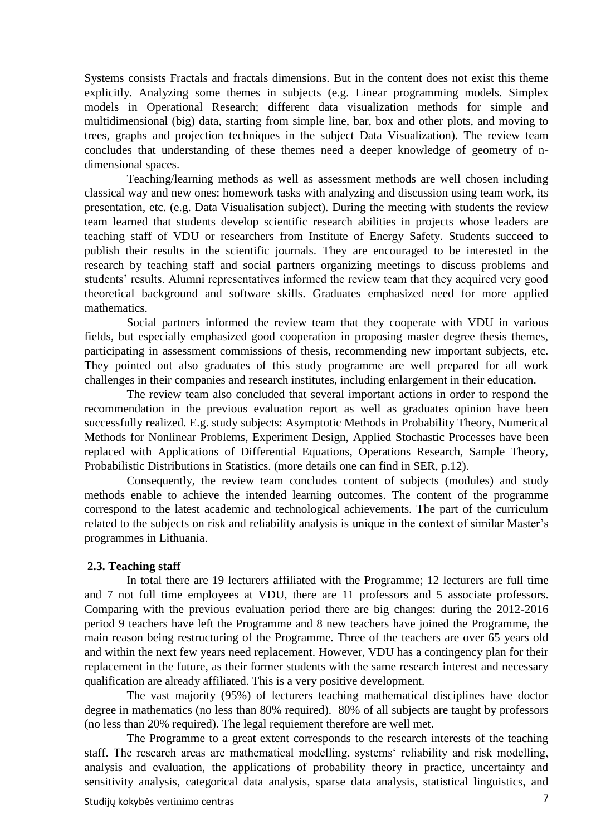Systems consists Fractals and fractals dimensions. But in the content does not exist this theme explicitly. Analyzing some themes in subjects (e.g. Linear programming models. Simplex models in Operational Research; different data visualization methods for simple and multidimensional (big) data, starting from simple line, bar, box and other plots, and moving to trees, graphs and projection techniques in the subject Data Visualization). The review team concludes that understanding of these themes need a deeper knowledge of geometry of ndimensional spaces.

Teaching/learning methods as well as assessment methods are well chosen including classical way and new ones: homework tasks with analyzing and discussion using team work, its presentation, etc. (e.g. Data Visualisation subject). During the meeting with students the review team learned that students develop scientific research abilities in projects whose leaders are teaching staff of VDU or researchers from Institute of Energy Safety. Students succeed to publish their results in the scientific journals. They are encouraged to be interested in the research by teaching staff and social partners organizing meetings to discuss problems and students' results. Alumni representatives informed the review team that they acquired very good theoretical background and software skills. Graduates emphasized need for more applied mathematics.

Social partners informed the review team that they cooperate with VDU in various fields, but especially emphasized good cooperation in proposing master degree thesis themes, participating in assessment commissions of thesis, recommending new important subjects, etc. They pointed out also graduates of this study programme are well prepared for all work challenges in their companies and research institutes, including enlargement in their education.

The review team also concluded that several important actions in order to respond the recommendation in the previous evaluation report as well as graduates opinion have been successfully realized. E.g. study subjects: Asymptotic Methods in Probability Theory, Numerical Methods for Nonlinear Problems, Experiment Design, Applied Stochastic Processes have been replaced with Applications of Differential Equations, Operations Research, Sample Theory, Probabilistic Distributions in Statistics. (more details one can find in SER, p.12).

Consequently, the review team concludes content of subjects (modules) and study methods enable to achieve the intended learning outcomes. The content of the programme correspond to the latest academic and technological achievements. The part of the curriculum related to the subjects on risk and reliability analysis is unique in the context of similar Master's programmes in Lithuania.

#### <span id="page-6-0"></span>**2.3. Teaching staff**

In total there are 19 lecturers affiliated with the Programme; 12 lecturers are full time and 7 not full time employees at VDU, there are 11 professors and 5 associate professors. Comparing with the previous evaluation period there are big changes: during the 2012-2016 period 9 teachers have left the Programme and 8 new teachers have joined the Programme, the main reason being restructuring of the Programme. Three of the teachers are over 65 years old and within the next few years need replacement. However, VDU has a contingency plan for their replacement in the future, as their former students with the same research interest and necessary qualification are already affiliated. This is a very positive development.

The vast majority (95%) of lecturers teaching mathematical disciplines have doctor degree in mathematics (no less than 80% required). 80% of all subjects are taught by professors (no less than 20% required). The legal requiement therefore are well met.

The Programme to a great extent corresponds to the research interests of the teaching staff. The research areas are mathematical modelling, systems' reliability and risk modelling, analysis and evaluation, the applications of probability theory in practice, uncertainty and sensitivity analysis, categorical data analysis, sparse data analysis, statistical linguistics, and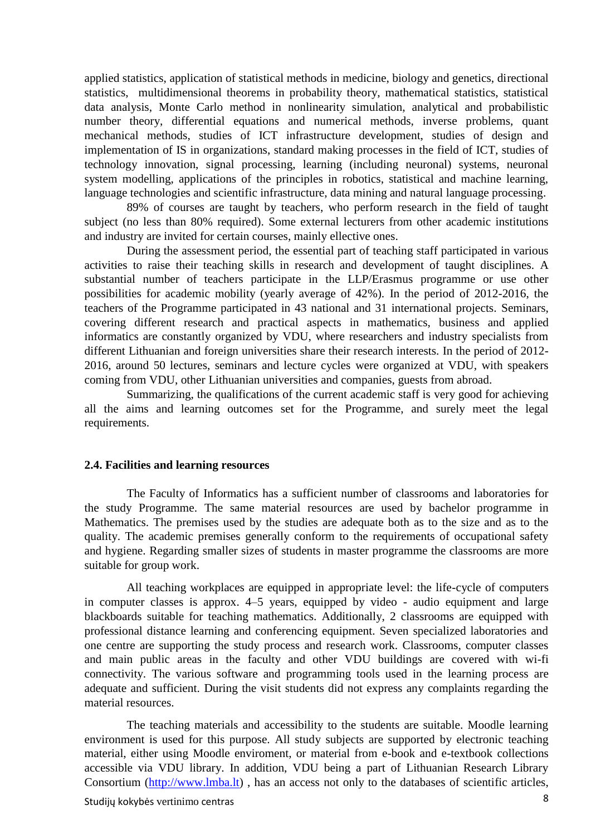applied statistics, application of statistical methods in medicine, biology and genetics, directional statistics, multidimensional theorems in probability theory, mathematical statistics, statistical data analysis, Monte Carlo method in nonlinearity simulation, analytical and probabilistic number theory, differential equations and numerical methods, inverse problems, quant mechanical methods, studies of ICT infrastructure development, studies of design and implementation of IS in organizations, standard making processes in the field of ICT, studies of technology innovation, signal processing, learning (including neuronal) systems, neuronal system modelling, applications of the principles in robotics, statistical and machine learning, language technologies and scientific infrastructure, data mining and natural language processing.

89% of courses are taught by teachers, who perform research in the field of taught subject (no less than 80% required). Some external lecturers from other academic institutions and industry are invited for certain courses, mainly ellective ones.

During the assessment period, the essential part of teaching staff participated in various activities to raise their teaching skills in research and development of taught disciplines. A substantial number of teachers participate in the LLP/Erasmus programme or use other possibilities for academic mobility (yearly average of 42%). In the period of 2012-2016, the teachers of the Programme participated in 43 national and 31 international projects. Seminars, covering different research and practical aspects in mathematics, business and applied informatics are constantly organized by VDU, where researchers and industry specialists from different Lithuanian and foreign universities share their research interests. In the period of 2012- 2016, around 50 lectures, seminars and lecture cycles were organized at VDU, with speakers coming from VDU, other Lithuanian universities and companies, guests from abroad.

Summarizing, the qualifications of the current academic staff is very good for achieving all the aims and learning outcomes set for the Programme, and surely meet the legal requirements.

#### <span id="page-7-0"></span>**2.4. Facilities and learning resources**

The Faculty of Informatics has a sufficient number of classrooms and laboratories for the study Programme. The same material resources are used by bachelor programme in Mathematics. The premises used by the studies are adequate both as to the size and as to the quality. The academic premises generally conform to the requirements of occupational safety and hygiene. Regarding smaller sizes of students in master programme the classrooms are more suitable for group work.

All teaching workplaces are equipped in appropriate level: the life-cycle of computers in computer classes is approx. 4–5 years, equipped by video - audio equipment and large blackboards suitable for teaching mathematics. Additionally, 2 classrooms are equipped with professional distance learning and conferencing equipment. Seven specialized laboratories and one centre are supporting the study process and research work. Classrooms, computer classes and main public areas in the faculty and other VDU buildings are covered with wi-fi connectivity. The various software and programming tools used in the learning process are adequate and sufficient. During the visit students did not express any complaints regarding the material resources.

The teaching materials and accessibility to the students are suitable. Moodle learning environment is used for this purpose. All study subjects are supported by electronic teaching material, either using Moodle enviroment, or material from e-book and e-textbook collections accessible via VDU library. In addition, VDU being a part of Lithuanian Research Library Consortium [\(http://www.lmba.lt\)](http://www.lmba.lt/) , has an access not only to the databases of scientific articles,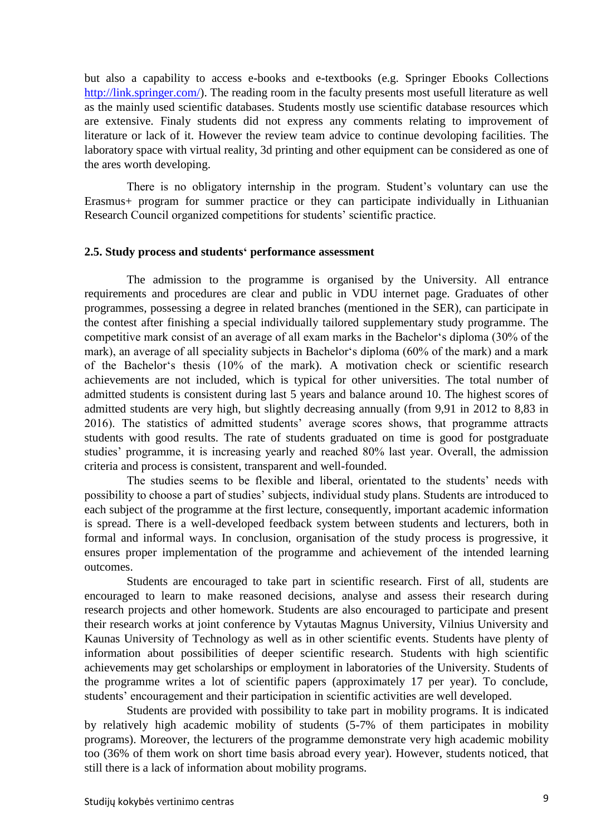but also a capability to access e-books and e-textbooks (e.g. Springer Ebooks Collections [http://link.springer.com/\)](http://link.springer.com/). The reading room in the faculty presents most usefull literature as well as the mainly used scientific databases. Students mostly use scientific database resources which are extensive. Finaly students did not express any comments relating to improvement of literature or lack of it. However the review team advice to continue devoloping facilities. The laboratory space with virtual reality, 3d printing and other equipment can be considered as one of the ares worth developing.

There is no obligatory internship in the program. Student's voluntary can use the Erasmus+ program for summer practice or they can participate individually in Lithuanian Research Council organized competitions for students' scientific practice.

#### <span id="page-8-0"></span>**2.5. Study process and students' performance assessment**

The admission to the programme is organised by the University. All entrance requirements and procedures are clear and public in VDU internet page. Graduates of other programmes, possessing a degree in related branches (mentioned in the SER), can participate in the contest after finishing a special individually tailored supplementary study programme. The competitive mark consist of an average of all exam marks in the Bachelor's diploma (30% of the mark), an average of all speciality subjects in Bachelor's diploma (60% of the mark) and a mark of the Bachelor's thesis (10% of the mark). A motivation check or scientific research achievements are not included, which is typical for other universities. The total number of admitted students is consistent during last 5 years and balance around 10. The highest scores of admitted students are very high, but slightly decreasing annually (from 9,91 in 2012 to 8,83 in 2016). The statistics of admitted students' average scores shows, that programme attracts students with good results. The rate of students graduated on time is good for postgraduate studies' programme, it is increasing yearly and reached 80% last year. Overall, the admission criteria and process is consistent, transparent and well-founded.

The studies seems to be flexible and liberal, orientated to the students' needs with possibility to choose a part of studies' subjects, individual study plans. Students are introduced to each subject of the programme at the first lecture, consequently, important academic information is spread. There is a well-developed feedback system between students and lecturers, both in formal and informal ways. In conclusion, organisation of the study process is progressive, it ensures proper implementation of the programme and achievement of the intended learning outcomes.

Students are encouraged to take part in scientific research. First of all, students are encouraged to learn to make reasoned decisions, analyse and assess their research during research projects and other homework. Students are also encouraged to participate and present their research works at joint conference by Vytautas Magnus University, Vilnius University and Kaunas University of Technology as well as in other scientific events. Students have plenty of information about possibilities of deeper scientific research. Students with high scientific achievements may get scholarships or employment in laboratories of the University. Students of the programme writes a lot of scientific papers (approximately 17 per year). To conclude, students' encouragement and their participation in scientific activities are well developed.

Students are provided with possibility to take part in mobility programs. It is indicated by relatively high academic mobility of students (5-7% of them participates in mobility programs). Moreover, the lecturers of the programme demonstrate very high academic mobility too (36% of them work on short time basis abroad every year). However, students noticed, that still there is a lack of information about mobility programs.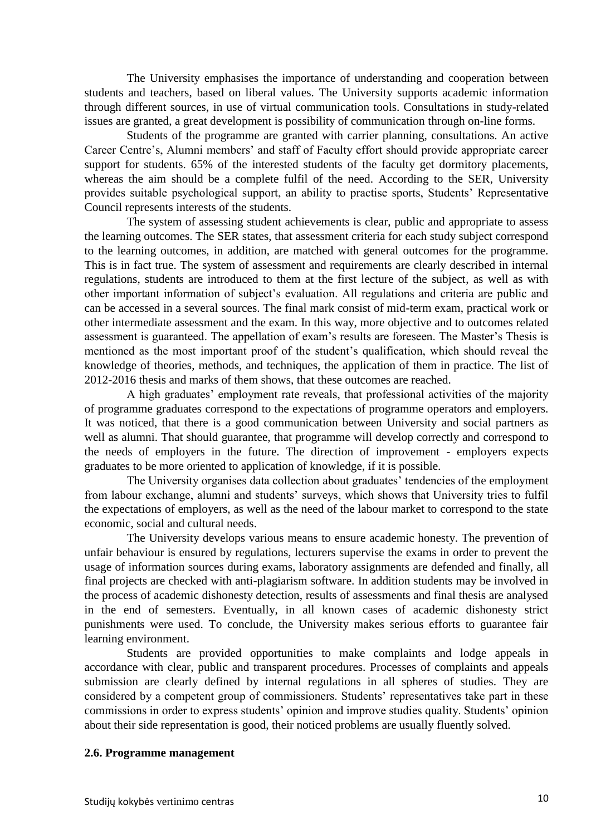The University emphasises the importance of understanding and cooperation between students and teachers, based on liberal values. The University supports academic information through different sources, in use of virtual communication tools. Consultations in study-related issues are granted, a great development is possibility of communication through on-line forms.

Students of the programme are granted with carrier planning, consultations. An active Career Centre's, Alumni members' and staff of Faculty effort should provide appropriate career support for students. 65% of the interested students of the faculty get dormitory placements, whereas the aim should be a complete fulfil of the need. According to the SER, University provides suitable psychological support, an ability to practise sports, Students' Representative Council represents interests of the students.

The system of assessing student achievements is clear, public and appropriate to assess the learning outcomes. The SER states, that assessment criteria for each study subject correspond to the learning outcomes, in addition, are matched with general outcomes for the programme. This is in fact true. The system of assessment and requirements are clearly described in internal regulations, students are introduced to them at the first lecture of the subject, as well as with other important information of subject's evaluation. All regulations and criteria are public and can be accessed in a several sources. The final mark consist of mid-term exam, practical work or other intermediate assessment and the exam. In this way, more objective and to outcomes related assessment is guaranteed. The appellation of exam's results are foreseen. The Master's Thesis is mentioned as the most important proof of the student's qualification, which should reveal the knowledge of theories, methods, and techniques, the application of them in practice. The list of 2012-2016 thesis and marks of them shows, that these outcomes are reached.

A high graduates' employment rate reveals, that professional activities of the majority of programme graduates correspond to the expectations of programme operators and employers. It was noticed, that there is a good communication between University and social partners as well as alumni. That should guarantee, that programme will develop correctly and correspond to the needs of employers in the future. The direction of improvement - employers expects graduates to be more oriented to application of knowledge, if it is possible.

The University organises data collection about graduates' tendencies of the employment from labour exchange, alumni and students' surveys, which shows that University tries to fulfil the expectations of employers, as well as the need of the labour market to correspond to the state economic, social and cultural needs.

The University develops various means to ensure academic honesty. The prevention of unfair behaviour is ensured by regulations, lecturers supervise the exams in order to prevent the usage of information sources during exams, laboratory assignments are defended and finally, all final projects are checked with anti-plagiarism software. In addition students may be involved in the process of academic dishonesty detection, results of assessments and final thesis are analysed in the end of semesters. Eventually, in all known cases of academic dishonesty strict punishments were used. To conclude, the University makes serious efforts to guarantee fair learning environment.

Students are provided opportunities to make complaints and lodge appeals in accordance with clear, public and transparent procedures. Processes of complaints and appeals submission are clearly defined by internal regulations in all spheres of studies. They are considered by a competent group of commissioners. Students' representatives take part in these commissions in order to express students' opinion and improve studies quality. Students' opinion about their side representation is good, their noticed problems are usually fluently solved.

#### <span id="page-9-0"></span>**2.6. Programme management**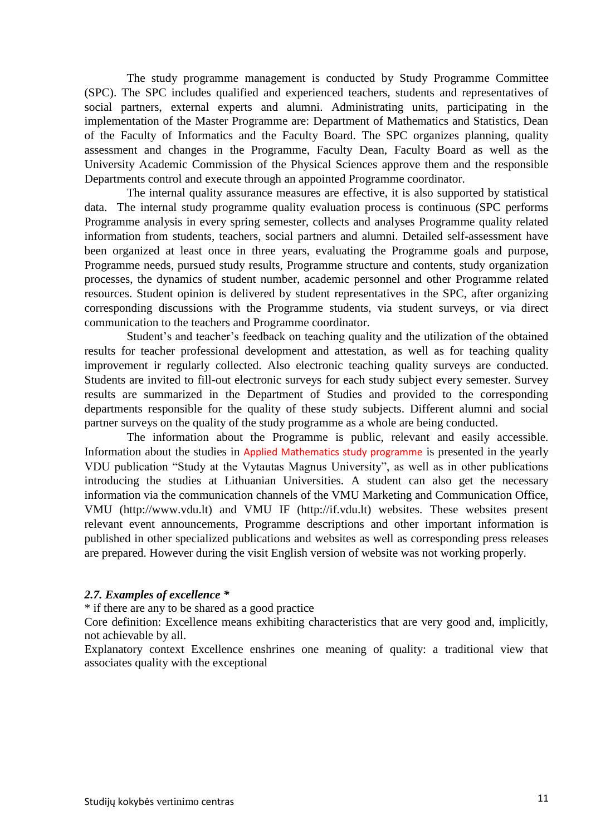The study programme management is conducted by Study Programme Committee (SPC). The SPC includes qualified and experienced teachers, students and representatives of social partners, external experts and alumni. Administrating units, participating in the implementation of the Master Programme are: Department of Mathematics and Statistics, Dean of the Faculty of Informatics and the Faculty Board. The SPC organizes planning, quality assessment and changes in the Programme, Faculty Dean, Faculty Board as well as the University Academic Commission of the Physical Sciences approve them and the responsible Departments control and execute through an appointed Programme coordinator.

The internal quality assurance measures are effective, it is also supported by statistical data. The internal study programme quality evaluation process is continuous (SPC performs Programme analysis in every spring semester, collects and analyses Programme quality related information from students, teachers, social partners and alumni. Detailed self-assessment have been organized at least once in three years, evaluating the Programme goals and purpose, Programme needs, pursued study results, Programme structure and contents, study organization processes, the dynamics of student number, academic personnel and other Programme related resources. Student opinion is delivered by student representatives in the SPC, after organizing corresponding discussions with the Programme students, via student surveys, or via direct communication to the teachers and Programme coordinator.

Student's and teacher's feedback on teaching quality and the utilization of the obtained results for teacher professional development and attestation, as well as for teaching quality improvement ir regularly collected. Also electronic teaching quality surveys are conducted. Students are invited to fill-out electronic surveys for each study subject every semester. Survey results are summarized in the Department of Studies and provided to the corresponding departments responsible for the quality of these study subjects. Different alumni and social partner surveys on the quality of the study programme as a whole are being conducted.

The information about the Programme is public, relevant and easily accessible. Information about the studies in Applied Mathematics study programme is presented in the yearly VDU publication "Study at the Vytautas Magnus University", as well as in other publications introducing the studies at Lithuanian Universities. A student can also get the necessary information via the communication channels of the VMU Marketing and Communication Office, VMU (http://www.vdu.lt) and VMU IF (http://if.vdu.lt) websites. These websites present relevant event announcements, Programme descriptions and other important information is published in other specialized publications and websites as well as corresponding press releases are prepared. However during the visit English version of website was not working properly.

### <span id="page-10-0"></span>*2.7. Examples of excellence \**

\* if there are any to be shared as a good practice

Core definition: Excellence means exhibiting characteristics that are very good and, implicitly, not achievable by all.

Explanatory context Excellence enshrines one meaning of quality: a traditional view that associates quality with the exceptional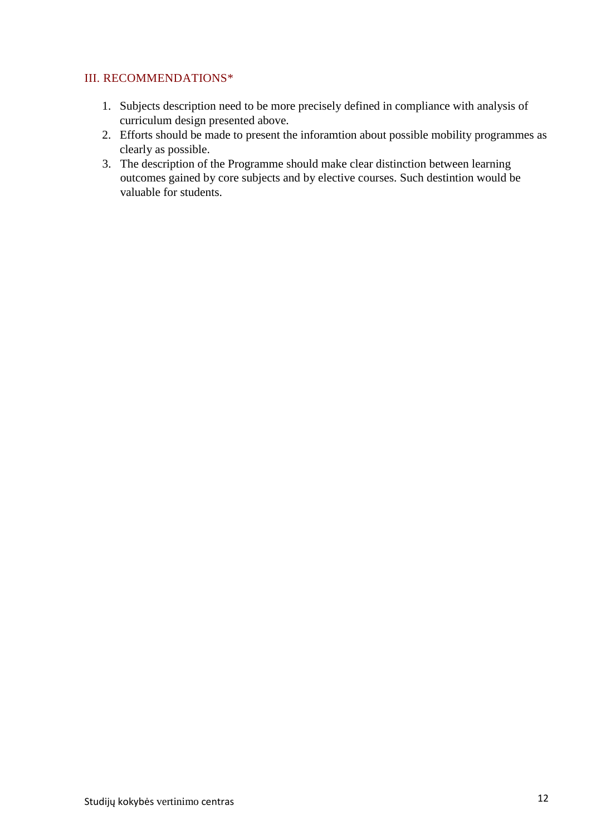### <span id="page-11-0"></span>III. RECOMMENDATIONS\*

- 1. Subjects description need to be more precisely defined in compliance with analysis of curriculum design presented above.
- 2. Efforts should be made to present the inforamtion about possible mobility programmes as clearly as possible.
- 3. The description of the Programme should make clear distinction between learning outcomes gained by core subjects and by elective courses. Such destintion would be valuable for students.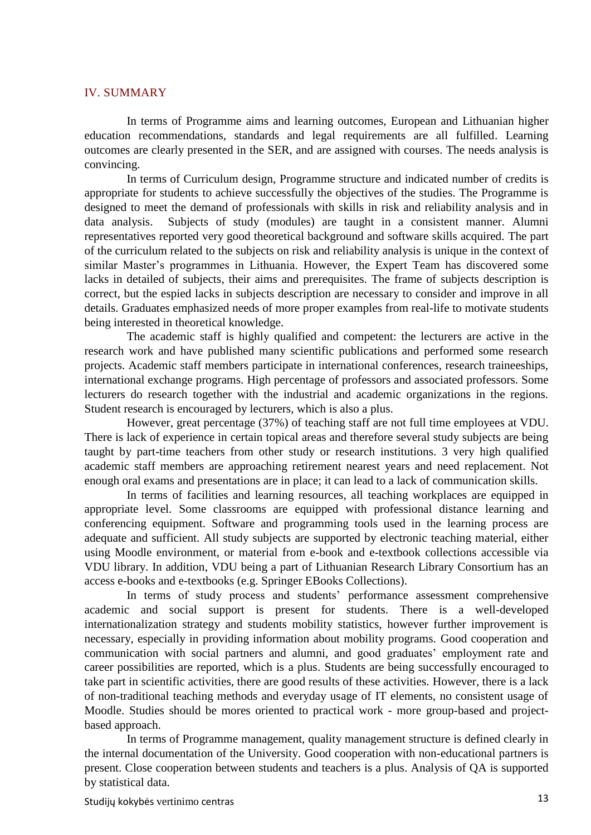#### <span id="page-12-0"></span>IV. SUMMARY

In terms of Programme aims and learning outcomes, European and Lithuanian higher education recommendations, standards and legal requirements are all fulfilled. Learning outcomes are clearly presented in the SER, and are assigned with courses. The needs analysis is convincing.

In terms of Curriculum design, Programme structure and indicated number of credits is appropriate for students to achieve successfully the objectives of the studies. The Programme is designed to meet the demand of professionals with skills in risk and reliability analysis and in data analysis. Subjects of study (modules) are taught in a consistent manner. Alumni representatives reported very good theoretical background and software skills acquired. The part of the curriculum related to the subjects on risk and reliability analysis is unique in the context of similar Master's programmes in Lithuania. However, the Expert Team has discovered some lacks in detailed of subjects, their aims and prerequisites. The frame of subjects description is correct, but the espied lacks in subjects description are necessary to consider and improve in all details. Graduates emphasized needs of more proper examples from real-life to motivate students being interested in theoretical knowledge.

The academic staff is highly qualified and competent: the lecturers are active in the research work and have published many scientific publications and performed some research projects. Academic staff members participate in international conferences, research traineeships, international exchange programs. High percentage of professors and associated professors. Some lecturers do research together with the industrial and academic organizations in the regions. Student research is encouraged by lecturers, which is also a plus.

However, great percentage (37%) of teaching staff are not full time employees at VDU. There is lack of experience in certain topical areas and therefore several study subjects are being taught by part-time teachers from other study or research institutions. 3 very high qualified academic staff members are approaching retirement nearest years and need replacement. Not enough oral exams and presentations are in place; it can lead to a lack of communication skills.

In terms of facilities and learning resources, all teaching workplaces are equipped in appropriate level. Some classrooms are equipped with professional distance learning and conferencing equipment. Software and programming tools used in the learning process are adequate and sufficient. All study subjects are supported by electronic teaching material, either using Moodle environment, or material from e-book and e-textbook collections accessible via VDU library. In addition, VDU being a part of Lithuanian Research Library Consortium has an access e-books and e-textbooks (e.g. Springer EBooks Collections).

In terms of study process and students' performance assessment comprehensive academic and social support is present for students. There is a well-developed internationalization strategy and students mobility statistics, however further improvement is necessary, especially in providing information about mobility programs. Good cooperation and communication with social partners and alumni, and good graduates' employment rate and career possibilities are reported, which is a plus. Students are being successfully encouraged to take part in scientific activities, there are good results of these activities. However, there is a lack of non-traditional teaching methods and everyday usage of IT elements, no consistent usage of Moodle. Studies should be mores oriented to practical work - more group-based and projectbased approach.

In terms of Programme management, quality management structure is defined clearly in the internal documentation of the University. Good cooperation with non-educational partners is present. Close cooperation between students and teachers is a plus. Analysis of QA is supported by statistical data.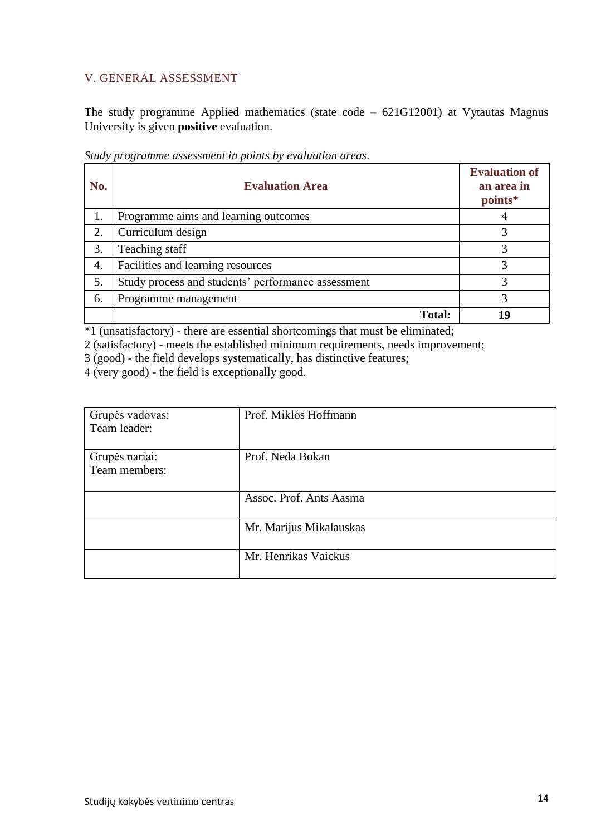## <span id="page-13-0"></span>V. GENERAL ASSESSMENT

The study programme Applied mathematics (state code – 621G12001) at Vytautas Magnus University is given **positive** evaluation.

| No. | <b>Evaluation Area</b>                             | <b>Evaluation of</b><br>an area in<br>points* |
|-----|----------------------------------------------------|-----------------------------------------------|
| 1.  | Programme aims and learning outcomes               |                                               |
| 2.  | Curriculum design                                  |                                               |
| 3.  | Teaching staff                                     |                                               |
| 4.  | Facilities and learning resources                  |                                               |
| 5.  | Study process and students' performance assessment |                                               |
| 6.  | Programme management                               |                                               |
|     | <b>Total:</b>                                      | 19                                            |

*Study programme assessment in points by evaluation areas*.

\*1 (unsatisfactory) - there are essential shortcomings that must be eliminated;

2 (satisfactory) - meets the established minimum requirements, needs improvement;

3 (good) - the field develops systematically, has distinctive features;

4 (very good) - the field is exceptionally good.

| Grupės vadovas: | Prof. Miklós Hoffmann   |
|-----------------|-------------------------|
| Team leader:    |                         |
|                 |                         |
| Grupės nariai:  | Prof. Neda Bokan        |
| Team members:   |                         |
|                 |                         |
|                 | Assoc. Prof. Ants Aasma |
|                 |                         |
|                 | Mr. Marijus Mikalauskas |
|                 |                         |
|                 | Mr. Henrikas Vaickus    |
|                 |                         |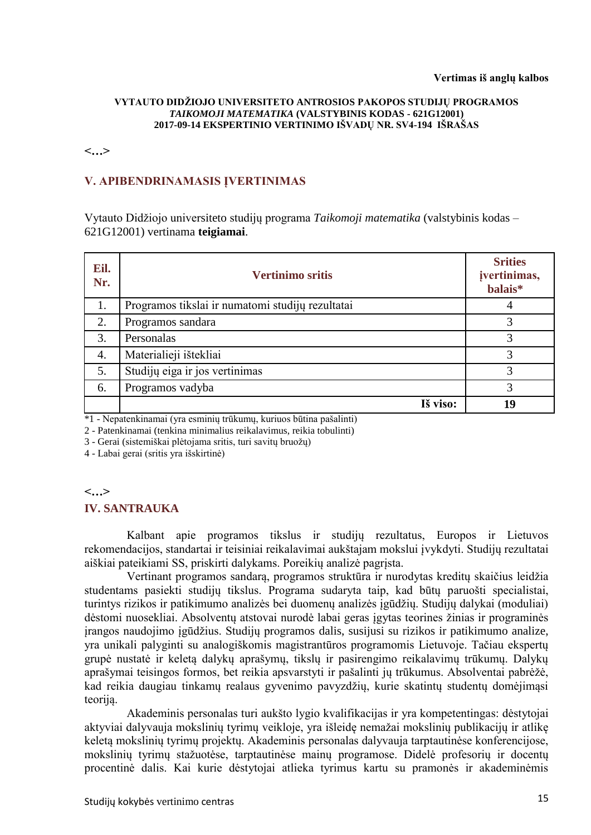#### **Vertimas iš anglų kalbos**

#### **VYTAUTO DIDŽIOJO UNIVERSITETO ANTROSIOS PAKOPOS STUDIJŲ PROGRAMOS**  *TAIKOMOJI MATEMATIKA* **(VALSTYBINIS KODAS - 621G12001) 2017-09-14 EKSPERTINIO VERTINIMO IŠVADŲ NR. SV4-194 IŠRAŠAS**

**<…>**

### **V. APIBENDRINAMASIS ĮVERTINIMAS**

Vytauto Didžiojo universiteto studijų programa *Taikomoji matematika* (valstybinis kodas – 621G12001) vertinama **teigiamai**.

| Eil.<br>Nr. | <b>Vertinimo sritis</b>                          | <b>Srities</b><br>įvertinimas,<br>balais* |
|-------------|--------------------------------------------------|-------------------------------------------|
| 1.          | Programos tikslai ir numatomi studijų rezultatai |                                           |
| 2.          | Programos sandara                                | 3                                         |
| 3.          | Personalas                                       | 3                                         |
| 4.          | Materialieji ištekliai                           | 3                                         |
| 5.          | Studijų eiga ir jos vertinimas                   | 3                                         |
| 6.          | Programos vadyba                                 | 3                                         |
|             | Iš viso:                                         | 19                                        |

\*1 - Nepatenkinamai (yra esminių trūkumų, kuriuos būtina pašalinti)

2 - Patenkinamai (tenkina minimalius reikalavimus, reikia tobulinti)

3 - Gerai (sistemiškai plėtojama sritis, turi savitų bruožų)

4 - Labai gerai (sritis yra išskirtinė)

#### **<…>**

#### **IV. SANTRAUKA**

Kalbant apie programos tikslus ir studijų rezultatus, Europos ir Lietuvos rekomendacijos, standartai ir teisiniai reikalavimai aukštajam mokslui įvykdyti. Studijų rezultatai aiškiai pateikiami SS, priskirti dalykams. Poreikių analizė pagrįsta.

Vertinant programos sandarą, programos struktūra ir nurodytas kreditų skaičius leidžia studentams pasiekti studijų tikslus. Programa sudaryta taip, kad būtų paruošti specialistai, turintys rizikos ir patikimumo analizės bei duomenų analizės įgūdžių. Studijų dalykai (moduliai) dėstomi nuosekliai. Absolventų atstovai nurodė labai geras įgytas teorines žinias ir programinės įrangos naudojimo įgūdžius. Studijų programos dalis, susijusi su rizikos ir patikimumo analize, yra unikali palyginti su analogiškomis magistrantūros programomis Lietuvoje. Tačiau ekspertų grupė nustatė ir keletą dalykų aprašymų, tikslų ir pasirengimo reikalavimų trūkumų. Dalykų aprašymai teisingos formos, bet reikia apsvarstyti ir pašalinti jų trūkumus. Absolventai pabrėžė, kad reikia daugiau tinkamų realaus gyvenimo pavyzdžių, kurie skatintų studentų domėjimąsi teoriją.

Akademinis personalas turi aukšto lygio kvalifikacijas ir yra kompetentingas: dėstytojai aktyviai dalyvauja mokslinių tyrimų veikloje, yra išleidę nemažai mokslinių publikacijų ir atlikę keletą mokslinių tyrimų projektų. Akademinis personalas dalyvauja tarptautinėse konferencijose, mokslinių tyrimų stažuotėse, tarptautinėse mainų programose. Didelė profesorių ir docentų procentinė dalis. Kai kurie dėstytojai atlieka tyrimus kartu su pramonės ir akademinėmis